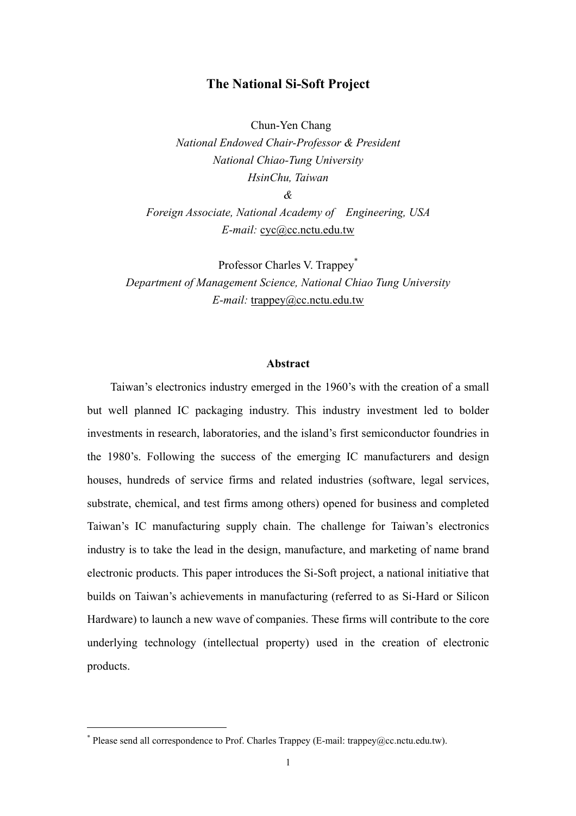### **The National Si-Soft Project**

 Chun-Yen Chang *National Endowed Chair-Professor & President National Chiao-Tung University HsinChu, Taiwan* 

*&* 

*Foreign Associate, National Academy of Engineering, USA E-mail:* [cyc@cc.nctu.edu.tw](mailto:adamhou@mail.dyu.edu.tw)

Professor Charles V. Trappey<sup>\*</sup> *Department of Management Science, National Chiao Tung University E-mail:* [trappey@cc.nctu.edu.tw](mailto:trappey@cc.nctu.edu.tw)

#### **Abstract**

Taiwan's electronics industry emerged in the 1960's with the creation of a small but well planned IC packaging industry. This industry investment led to bolder investments in research, laboratories, and the island's first semiconductor foundries in the 1980's. Following the success of the emerging IC manufacturers and design houses, hundreds of service firms and related industries (software, legal services, substrate, chemical, and test firms among others) opened for business and completed Taiwan's IC manufacturing supply chain. The challenge for Taiwan's electronics industry is to take the lead in the design, manufacture, and marketing of name brand electronic products. This paper introduces the Si-Soft project, a national initiative that builds on Taiwan's achievements in manufacturing (referred to as Si-Hard or Silicon Hardware) to launch a new wave of companies. These firms will contribute to the core underlying technology (intellectual property) used in the creation of electronic products.

 $\overline{a}$ 

<span id="page-0-0"></span><sup>\*</sup> Please send all correspondence to Prof. Charles Trappey (E-mail: trappey@cc.nctu.edu.tw).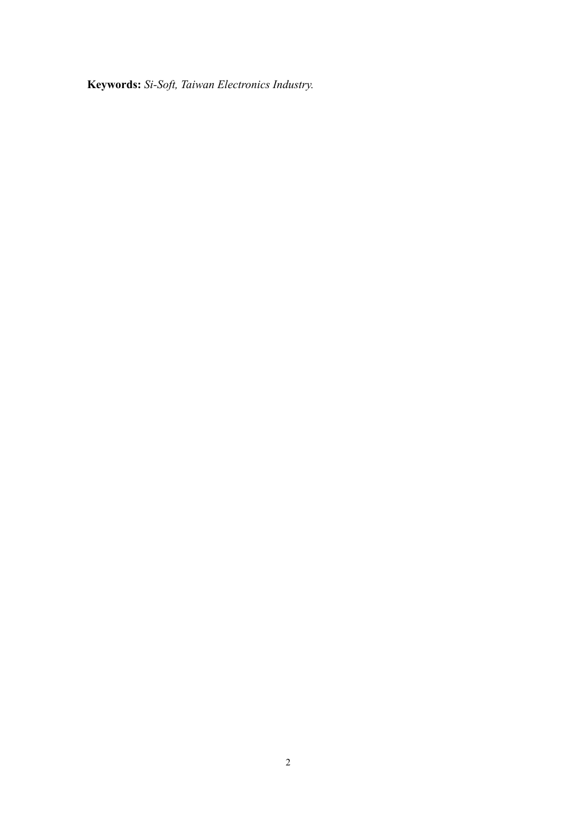**Keywords:** *Si-Soft, Taiwan Electronics Industry.*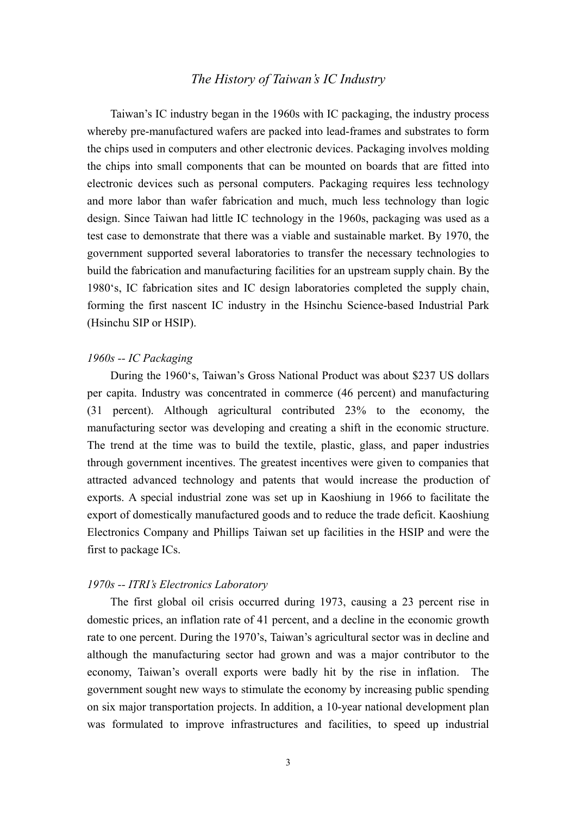# *The History of Taiwan's IC Industry*

Taiwan's IC industry began in the 1960s with IC packaging, the industry process whereby pre-manufactured wafers are packed into lead-frames and substrates to form the chips used in computers and other electronic devices. Packaging involves molding the chips into small components that can be mounted on boards that are fitted into electronic devices such as personal computers. Packaging requires less technology and more labor than wafer fabrication and much, much less technology than logic design. Since Taiwan had little IC technology in the 1960s, packaging was used as a test case to demonstrate that there was a viable and sustainable market. By 1970, the government supported several laboratories to transfer the necessary technologies to build the fabrication and manufacturing facilities for an upstream supply chain. By the 1980's, IC fabrication sites and IC design laboratories completed the supply chain, forming the first nascent IC industry in the Hsinchu Science-based Industrial Park (Hsinchu SIP or HSIP).

# *1960s -- IC Packaging*

During the 1960's, Taiwan's Gross National Product was about \$237 US dollars per capita. Industry was concentrated in commerce (46 percent) and manufacturing (31 percent). Although agricultural contributed 23% to the economy, the manufacturing sector was developing and creating a shift in the economic structure. The trend at the time was to build the textile, plastic, glass, and paper industries through government incentives. The greatest incentives were given to companies that attracted advanced technology and patents that would increase the production of exports. A special industrial zone was set up in Kaoshiung in 1966 to facilitate the export of domestically manufactured goods and to reduce the trade deficit. Kaoshiung Electronics Company and Phillips Taiwan set up facilities in the HSIP and were the first to package ICs.

### *1970s -- ITRI's Electronics Laboratory*

The first global oil crisis occurred during 1973, causing a 23 percent rise in domestic prices, an inflation rate of 41 percent, and a decline in the economic growth rate to one percent. During the 1970's, Taiwan's agricultural sector was in decline and although the manufacturing sector had grown and was a major contributor to the economy, Taiwan's overall exports were badly hit by the rise in inflation. The government sought new ways to stimulate the economy by increasing public spending on six major transportation projects. In addition, a 10-year national development plan was formulated to improve infrastructures and facilities, to speed up industrial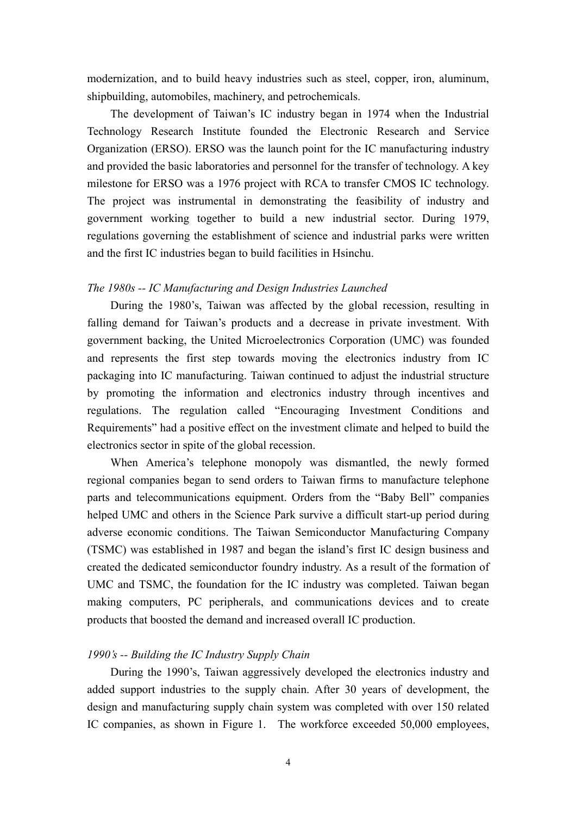modernization, and to build heavy industries such as steel, copper, iron, aluminum, shipbuilding, automobiles, machinery, and petrochemicals.

The development of Taiwan's IC industry began in 1974 when the Industrial Technology Research Institute founded the Electronic Research and Service Organization (ERSO). ERSO was the launch point for the IC manufacturing industry and provided the basic laboratories and personnel for the transfer of technology. A key milestone for ERSO was a 1976 project with RCA to transfer CMOS IC technology. The project was instrumental in demonstrating the feasibility of industry and government working together to build a new industrial sector. During 1979, regulations governing the establishment of science and industrial parks were written and the first IC industries began to build facilities in Hsinchu.

### *The 1980s -- IC Manufacturing and Design Industries Launched*

During the 1980's, Taiwan was affected by the global recession, resulting in falling demand for Taiwan's products and a decrease in private investment. With government backing, the United Microelectronics Corporation (UMC) was founded and represents the first step towards moving the electronics industry from IC packaging into IC manufacturing. Taiwan continued to adjust the industrial structure by promoting the information and electronics industry through incentives and regulations. The regulation called "Encouraging Investment Conditions and Requirements" had a positive effect on the investment climate and helped to build the electronics sector in spite of the global recession.

When America's telephone monopoly was dismantled, the newly formed regional companies began to send orders to Taiwan firms to manufacture telephone parts and telecommunications equipment. Orders from the "Baby Bell" companies helped UMC and others in the Science Park survive a difficult start-up period during adverse economic conditions. The Taiwan Semiconductor Manufacturing Company (TSMC) was established in 1987 and began the island's first IC design business and created the dedicated semiconductor foundry industry. As a result of the formation of UMC and TSMC, the foundation for the IC industry was completed. Taiwan began making computers, PC peripherals, and communications devices and to create products that boosted the demand and increased overall IC production.

#### *1990's -- Building the IC Industry Supply Chain*

During the 1990's, Taiwan aggressively developed the electronics industry and added support industries to the supply chain. After 30 years of development, the design and manufacturing supply chain system was completed with over 150 related IC companies, as shown in Figure 1. The workforce exceeded 50,000 employees,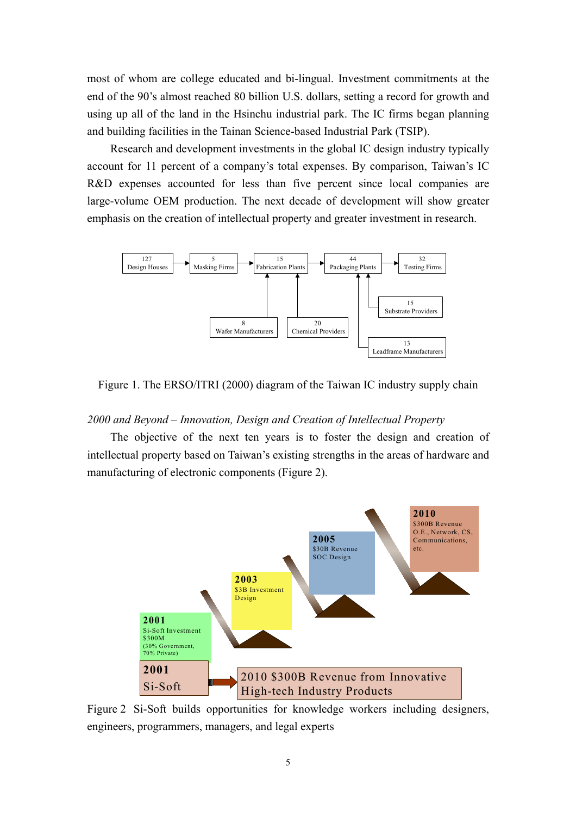most of whom are college educated and bi-lingual. Investment commitments at the end of the 90's almost reached 80 billion U.S. dollars, setting a record for growth and using up all of the land in the Hsinchu industrial park. The IC firms began planning and building facilities in the Tainan Science-based Industrial Park (TSIP).

Research and development investments in the global IC design industry typically account for 11 percent of a company's total expenses. By comparison, Taiwan's IC R&D expenses accounted for less than five percent since local companies are large-volume OEM production. The next decade of development will show greater emphasis on the creation of intellectual property and greater investment in research.



Figure 1. The ERSO/ITRI (2000) diagram of the Taiwan IC industry supply chain

# *2000 and Beyond – Innovation, Design and Creation of Intellectual Property*

The objective of the next ten years is to foster the design and creation of intellectual property based on Taiwan's existing strengths in the areas of hardware and manufacturing of electronic components (Figure 2).



Figure 2 Si-Soft builds opportunities for knowledge workers including designers, engineers, programmers, managers, and legal experts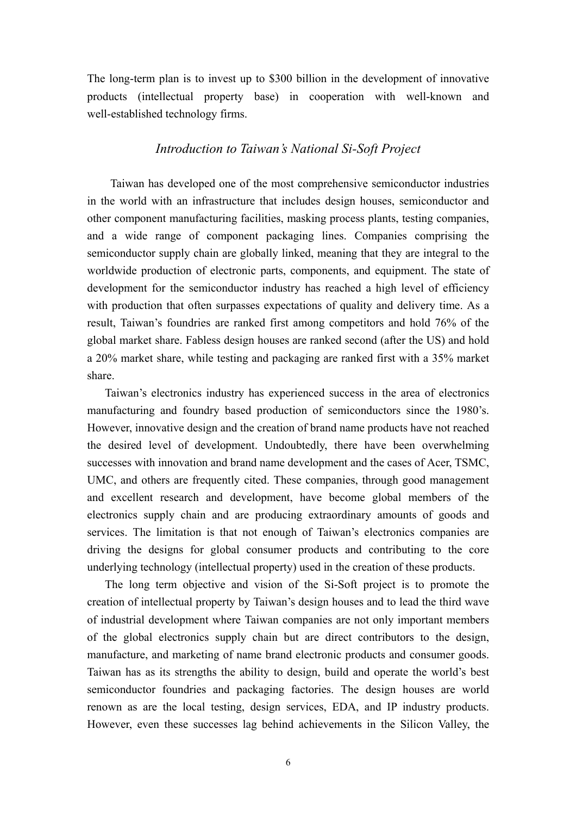The long-term plan is to invest up to \$300 billion in the development of innovative products (intellectual property base) in cooperation with well-known and well-established technology firms.

### *Introduction to Taiwan's National Si-Soft Project*

Taiwan has developed one of the most comprehensive semiconductor industries in the world with an infrastructure that includes design houses, semiconductor and other component manufacturing facilities, masking process plants, testing companies, and a wide range of component packaging lines. Companies comprising the semiconductor supply chain are globally linked, meaning that they are integral to the worldwide production of electronic parts, components, and equipment. The state of development for the semiconductor industry has reached a high level of efficiency with production that often surpasses expectations of quality and delivery time. As a result, Taiwan's foundries are ranked first among competitors and hold 76% of the global market share. Fabless design houses are ranked second (after the US) and hold a 20% market share, while testing and packaging are ranked first with a 35% market share.

Taiwan's electronics industry has experienced success in the area of electronics manufacturing and foundry based production of semiconductors since the 1980's. However, innovative design and the creation of brand name products have not reached the desired level of development. Undoubtedly, there have been overwhelming successes with innovation and brand name development and the cases of Acer, TSMC, UMC, and others are frequently cited. These companies, through good management and excellent research and development, have become global members of the electronics supply chain and are producing extraordinary amounts of goods and services. The limitation is that not enough of Taiwan's electronics companies are driving the designs for global consumer products and contributing to the core underlying technology (intellectual property) used in the creation of these products.

The long term objective and vision of the Si-Soft project is to promote the creation of intellectual property by Taiwan's design houses and to lead the third wave of industrial development where Taiwan companies are not only important members of the global electronics supply chain but are direct contributors to the design, manufacture, and marketing of name brand electronic products and consumer goods. Taiwan has as its strengths the ability to design, build and operate the world's best semiconductor foundries and packaging factories. The design houses are world renown as are the local testing, design services, EDA, and IP industry products. However, even these successes lag behind achievements in the Silicon Valley, the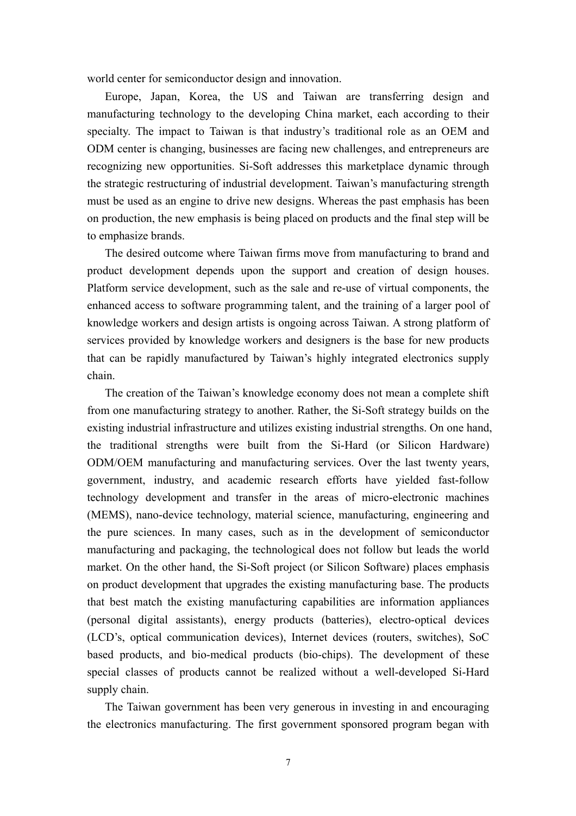world center for semiconductor design and innovation.

Europe, Japan, Korea, the US and Taiwan are transferring design and manufacturing technology to the developing China market, each according to their specialty. The impact to Taiwan is that industry's traditional role as an OEM and ODM center is changing, businesses are facing new challenges, and entrepreneurs are recognizing new opportunities. Si-Soft addresses this marketplace dynamic through the strategic restructuring of industrial development. Taiwan's manufacturing strength must be used as an engine to drive new designs. Whereas the past emphasis has been on production, the new emphasis is being placed on products and the final step will be to emphasize brands.

The desired outcome where Taiwan firms move from manufacturing to brand and product development depends upon the support and creation of design houses. Platform service development, such as the sale and re-use of virtual components, the enhanced access to software programming talent, and the training of a larger pool of knowledge workers and design artists is ongoing across Taiwan. A strong platform of services provided by knowledge workers and designers is the base for new products that can be rapidly manufactured by Taiwan's highly integrated electronics supply chain.

The creation of the Taiwan's knowledge economy does not mean a complete shift from one manufacturing strategy to another. Rather, the Si-Soft strategy builds on the existing industrial infrastructure and utilizes existing industrial strengths. On one hand, the traditional strengths were built from the Si-Hard (or Silicon Hardware) ODM/OEM manufacturing and manufacturing services. Over the last twenty years, government, industry, and academic research efforts have yielded fast-follow technology development and transfer in the areas of micro-electronic machines (MEMS), nano-device technology, material science, manufacturing, engineering and the pure sciences. In many cases, such as in the development of semiconductor manufacturing and packaging, the technological does not follow but leads the world market. On the other hand, the Si-Soft project (or Silicon Software) places emphasis on product development that upgrades the existing manufacturing base. The products that best match the existing manufacturing capabilities are information appliances (personal digital assistants), energy products (batteries), electro-optical devices (LCD's, optical communication devices), Internet devices (routers, switches), SoC based products, and bio-medical products (bio-chips). The development of these special classes of products cannot be realized without a well-developed Si-Hard supply chain.

The Taiwan government has been very generous in investing in and encouraging the electronics manufacturing. The first government sponsored program began with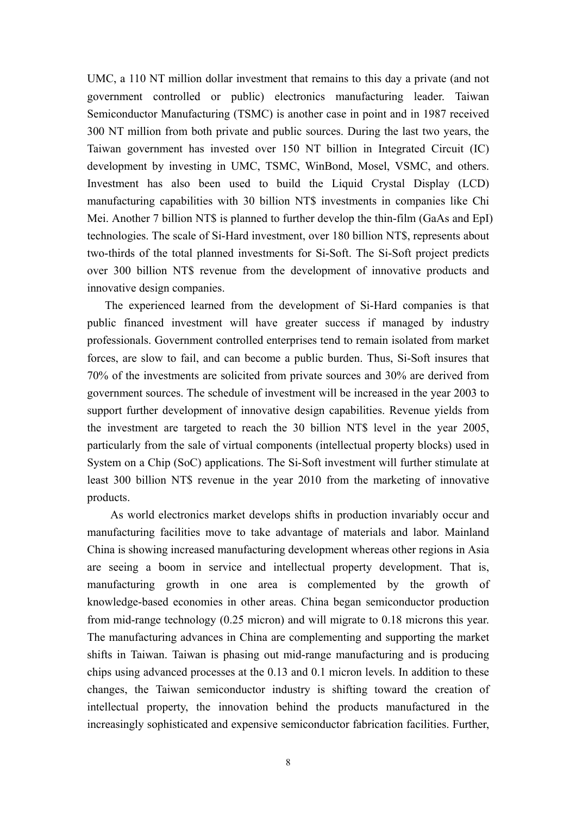UMC, a 110 NT million dollar investment that remains to this day a private (and not government controlled or public) electronics manufacturing leader. Taiwan Semiconductor Manufacturing (TSMC) is another case in point and in 1987 received 300 NT million from both private and public sources. During the last two years, the Taiwan government has invested over 150 NT billion in Integrated Circuit (IC) development by investing in UMC, TSMC, WinBond, Mosel, VSMC, and others. Investment has also been used to build the Liquid Crystal Display (LCD) manufacturing capabilities with 30 billion NT\$ investments in companies like Chi Mei. Another 7 billion NT\$ is planned to further develop the thin-film (GaAs and EpI) technologies. The scale of Si-Hard investment, over 180 billion NT\$, represents about two-thirds of the total planned investments for Si-Soft. The Si-Soft project predicts over 300 billion NT\$ revenue from the development of innovative products and innovative design companies.

The experienced learned from the development of Si-Hard companies is that public financed investment will have greater success if managed by industry professionals. Government controlled enterprises tend to remain isolated from market forces, are slow to fail, and can become a public burden. Thus, Si-Soft insures that 70% of the investments are solicited from private sources and 30% are derived from government sources. The schedule of investment will be increased in the year 2003 to support further development of innovative design capabilities. Revenue yields from the investment are targeted to reach the 30 billion NT\$ level in the year 2005, particularly from the sale of virtual components (intellectual property blocks) used in System on a Chip (SoC) applications. The Si-Soft investment will further stimulate at least 300 billion NT\$ revenue in the year 2010 from the marketing of innovative products.

As world electronics market develops shifts in production invariably occur and manufacturing facilities move to take advantage of materials and labor. Mainland China is showing increased manufacturing development whereas other regions in Asia are seeing a boom in service and intellectual property development. That is, manufacturing growth in one area is complemented by the growth of knowledge-based economies in other areas. China began semiconductor production from mid-range technology (0.25 micron) and will migrate to 0.18 microns this year. The manufacturing advances in China are complementing and supporting the market shifts in Taiwan. Taiwan is phasing out mid-range manufacturing and is producing chips using advanced processes at the 0.13 and 0.1 micron levels. In addition to these changes, the Taiwan semiconductor industry is shifting toward the creation of intellectual property, the innovation behind the products manufactured in the increasingly sophisticated and expensive semiconductor fabrication facilities. Further,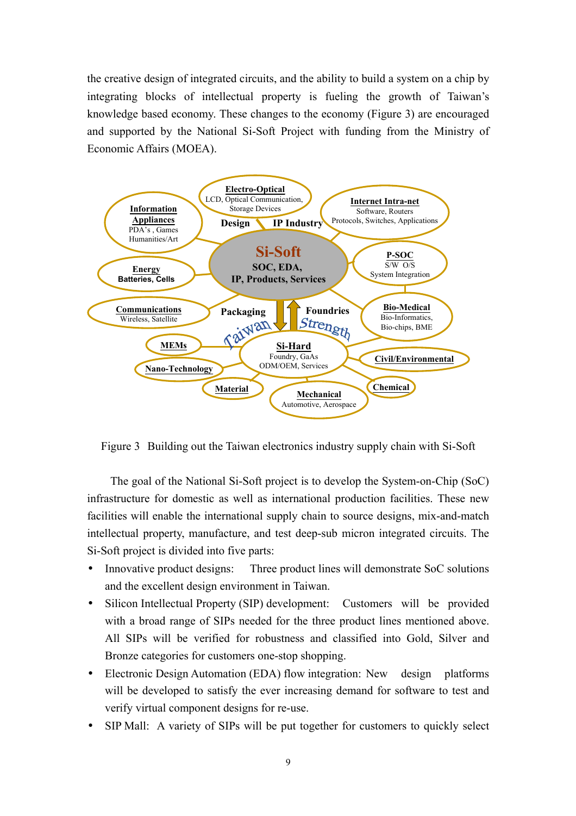the creative design of integrated circuits, and the ability to build a system on a chip by integrating blocks of intellectual property is fueling the growth of Taiwan's knowledge based economy. These changes to the economy (Figure 3) are encouraged and supported by the National Si-Soft Project with funding from the Ministry of Economic Affairs (MOEA).



Figure 3 Building out the Taiwan electronics industry supply chain with Si-Soft

The goal of the National Si-Soft project is to develop the System-on-Chip (SoC) infra structure for domestic as well as international production facilities. These new facilities will enable the international supply chain to source designs, mix-and-match intellectual property, manufacture, and test deep-sub micron integrated circuits. The Si-Soft project is divided into five parts:

- Three product lines will demonstrate SoC solutions  $\bullet$  Innovative product designs: and the excellent design environment in Taiwan.
- Silicon Intellectual Property (SIP) development: Customers will be provided with a broad range of SIPs needed for the three product lines mentioned above. All SIPs will be verified for robustness and classified into Gold, Silver and Bronze categories for customers one-stop shopping.
- Electronic Design Automation (EDA) flow integration: New design platforms will be developed to satisfy the ever increasing demand for software to test and verify virtual component designs for re-use.
- SIP Mall: A variety of SIPs will be put together for customers to quickly select